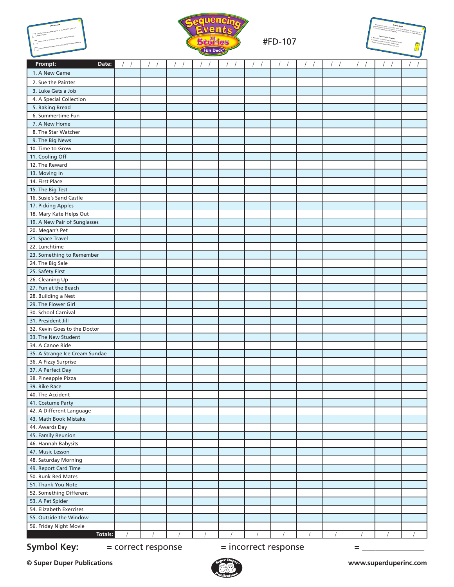



#FD-107



|                                | $\sqrt{ }$ | $\sqrt{ }$ | $\sqrt{ }$ | $\sqrt{ }$<br>$\prime$ | $\sqrt{ }$ | $\prime$ | $\sqrt{ }$ | $\prime$<br>$\sqrt{ }$ | $\sqrt{ }$ | $\sqrt{ }$ |  |
|--------------------------------|------------|------------|------------|------------------------|------------|----------|------------|------------------------|------------|------------|--|
| 1. A New Game                  |            |            |            |                        |            |          |            |                        |            |            |  |
| 2. Sue the Painter             |            |            |            |                        |            |          |            |                        |            |            |  |
| 3. Luke Gets a Job             |            |            |            |                        |            |          |            |                        |            |            |  |
| 4. A Special Collection        |            |            |            |                        |            |          |            |                        |            |            |  |
| 5. Baking Bread                |            |            |            |                        |            |          |            |                        |            |            |  |
| 6. Summertime Fun              |            |            |            |                        |            |          |            |                        |            |            |  |
| 7. A New Home                  |            |            |            |                        |            |          |            |                        |            |            |  |
| 8. The Star Watcher            |            |            |            |                        |            |          |            |                        |            |            |  |
| 9. The Big News                |            |            |            |                        |            |          |            |                        |            |            |  |
| 10. Time to Grow               |            |            |            |                        |            |          |            |                        |            |            |  |
| 11. Cooling Off                |            |            |            |                        |            |          |            |                        |            |            |  |
| 12. The Reward                 |            |            |            |                        |            |          |            |                        |            |            |  |
| 13. Moving In                  |            |            |            |                        |            |          |            |                        |            |            |  |
| 14. First Place                |            |            |            |                        |            |          |            |                        |            |            |  |
| 15. The Big Test               |            |            |            |                        |            |          |            |                        |            |            |  |
| 16. Susie's Sand Castle        |            |            |            |                        |            |          |            |                        |            |            |  |
| 17. Picking Apples             |            |            |            |                        |            |          |            |                        |            |            |  |
| 18. Mary Kate Helps Out        |            |            |            |                        |            |          |            |                        |            |            |  |
| 19. A New Pair of Sunglasses   |            |            |            |                        |            |          |            |                        |            |            |  |
| 20. Megan's Pet                |            |            |            |                        |            |          |            |                        |            |            |  |
| 21. Space Travel               |            |            |            |                        |            |          |            |                        |            |            |  |
| 22. Lunchtime                  |            |            |            |                        |            |          |            |                        |            |            |  |
| 23. Something to Remember      |            |            |            |                        |            |          |            |                        |            |            |  |
| 24. The Big Sale               |            |            |            |                        |            |          |            |                        |            |            |  |
| 25. Safety First               |            |            |            |                        |            |          |            |                        |            |            |  |
| 26. Cleaning Up                |            |            |            |                        |            |          |            |                        |            |            |  |
| 27. Fun at the Beach           |            |            |            |                        |            |          |            |                        |            |            |  |
| 28. Building a Nest            |            |            |            |                        |            |          |            |                        |            |            |  |
| 29. The Flower Girl            |            |            |            |                        |            |          |            |                        |            |            |  |
| 30. School Carnival            |            |            |            |                        |            |          |            |                        |            |            |  |
| 31. President Jill             |            |            |            |                        |            |          |            |                        |            |            |  |
| 32. Kevin Goes to the Doctor   |            |            |            |                        |            |          |            |                        |            |            |  |
| 33. The New Student            |            |            |            |                        |            |          |            |                        |            |            |  |
| 34. A Canoe Ride               |            |            |            |                        |            |          |            |                        |            |            |  |
| 35. A Strange Ice Cream Sundae |            |            |            |                        |            |          |            |                        |            |            |  |
| 36. A Fizzy Surprise           |            |            |            |                        |            |          |            |                        |            |            |  |
| 37. A Perfect Day              |            |            |            |                        |            |          |            |                        |            |            |  |
| 38. Pineapple Pizza            |            |            |            |                        |            |          |            |                        |            |            |  |
| 39. Bike Race                  |            |            |            |                        |            |          |            |                        |            |            |  |
| 40. The Accident               |            |            |            |                        |            |          |            |                        |            |            |  |
| 41. Costume Party              |            |            |            |                        |            |          |            |                        |            |            |  |
| 42. A Different Language       |            |            |            |                        |            |          |            |                        |            |            |  |
| 43. Math Book Mistake          |            |            |            |                        |            |          |            |                        |            |            |  |
| 44. Awards Day                 |            |            |            |                        |            |          |            |                        |            |            |  |
| 45. Family Reunion             |            |            |            |                        |            |          |            |                        |            |            |  |
| 46. Hannah Babysits            |            |            |            |                        |            |          |            |                        |            |            |  |
| 47. Music Lesson               |            |            |            |                        |            |          |            |                        |            |            |  |
| 48. Saturday Morning           |            |            |            |                        |            |          |            |                        |            |            |  |
| 49. Report Card Time           |            |            |            |                        |            |          |            |                        |            |            |  |
| 50. Bunk Bed Mates             |            |            |            |                        |            |          |            |                        |            |            |  |
| 51. Thank You Note             |            |            |            |                        |            |          |            |                        |            |            |  |
| 52. Something Different        |            |            |            |                        |            |          |            |                        |            |            |  |
| 53. A Pet Spider               |            |            |            |                        |            |          |            |                        |            |            |  |
| 54. Elizabeth Exercises        |            |            |            |                        |            |          |            |                        |            |            |  |
| 55. Outside the Window         |            |            |            |                        |            |          |            |                        |            |            |  |
| 56. Friday Night Movie         |            |            |            |                        |            |          |            |                        |            |            |  |
| Totals:                        |            |            |            |                        |            |          |            |                        |            |            |  |

## **Symbol Key:**  $=$  correct response  $=$  incorrect response  $=$   $=$